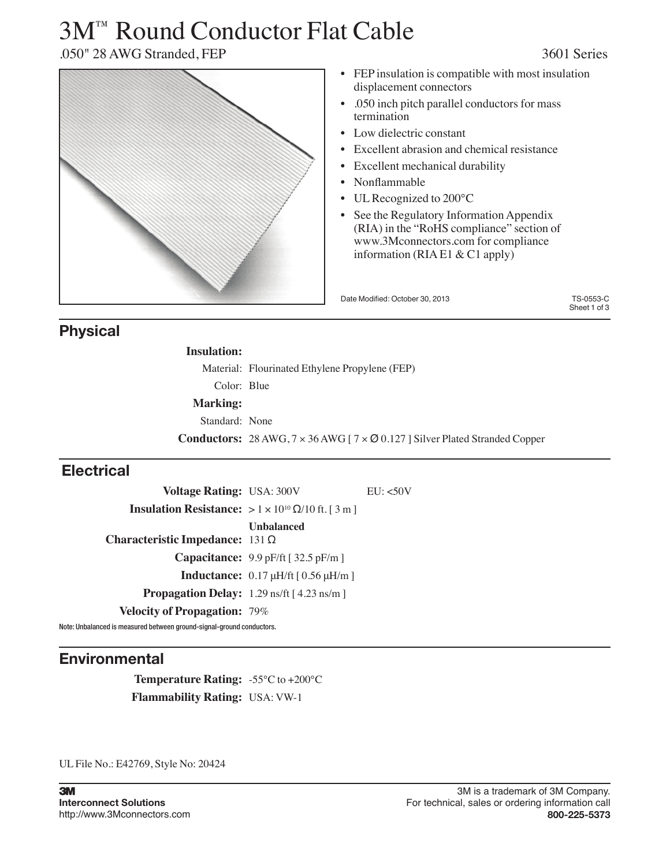# 3M™ Round Conductor Flat Cable

.050" 28 AWG Stranded, FEP 3601 Series



## **Physical**

| <b>Insulation:</b> |                                                                                                  |
|--------------------|--------------------------------------------------------------------------------------------------|
|                    | Material: Flourinated Ethylene Propylene (FEP)                                                   |
| Color: Blue        |                                                                                                  |
| <b>Marking:</b>    |                                                                                                  |
| Standard: None     |                                                                                                  |
|                    | <b>Conductors:</b> 28 AWG, $7 \times 36$ AWG [ $7 \times 20.127$ ] Silver Plated Stranded Copper |

## **Electrical**

| <b>Voltage Rating: USA: 300V</b>                                         |                                                                 | EU: < 50V |
|--------------------------------------------------------------------------|-----------------------------------------------------------------|-----------|
| <b>Insulation Resistance:</b> $> 1 \times 10^{10} \Omega/10$ ft. [ 3 m ] |                                                                 |           |
| Characteristic Impedance: $131 \Omega$                                   | Unbalanced                                                      |           |
|                                                                          | <b>Capacitance:</b> 9.9 pF/ft $\lceil 32.5 \text{ pF/m} \rceil$ |           |
|                                                                          | <b>Inductance:</b> $0.17 \mu H/\text{ft}$ [ $0.56 \mu H/m$ ]    |           |
| <b>Propagation Delay:</b> 1.29 ns/ft [4.23 ns/m]                         |                                                                 |           |
| <b>Velocity of Propagation: 79%</b>                                      |                                                                 |           |

Note: Unbalanced is measured between ground-signal-ground conductors.

## **Environmental**

**Temperature Rating:** -55°C to +200°C **Flammability Rating:** USA: VW-1

UL File No.: E42769, Style No: 20424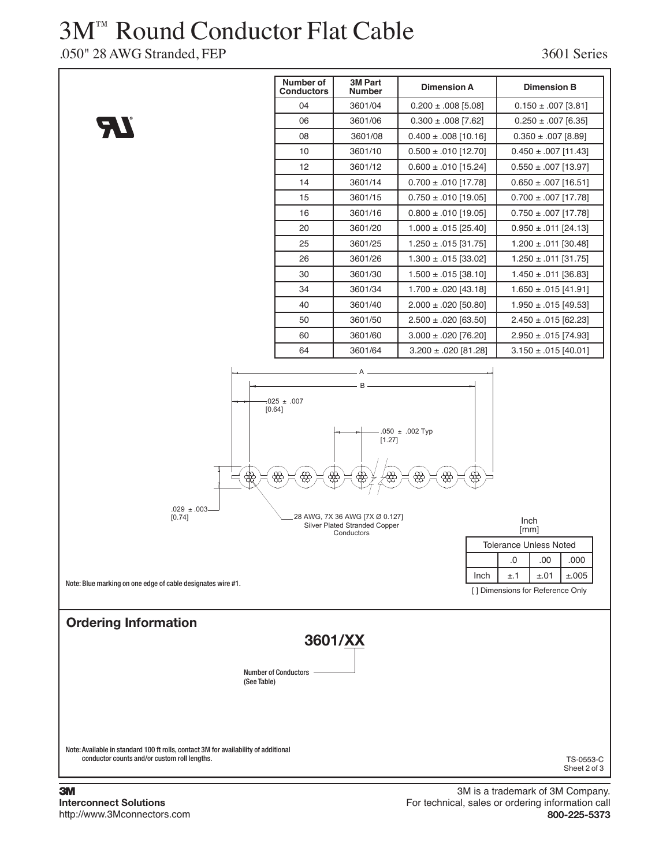## 3M™ Round Conductor Flat Cable

.050" 28 AWG Stranded, FEP 3601 Series